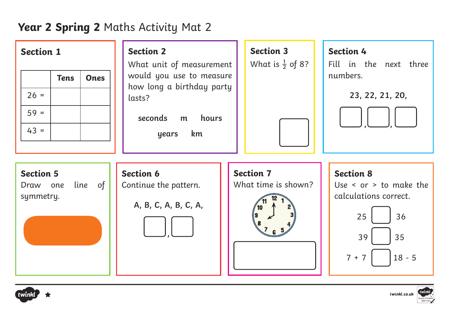# **Year 2 Spring 2** Maths Activity Mat 2

| <b>Section 1</b><br><b>Ones</b><br><b>Tens</b><br>$26 =$<br>$59 =$<br>$43 =$ | <b>Section 2</b><br>What unit of measurement<br>would you use to measure<br>how long a birthday party<br>lasts?<br>seconds<br>hours<br>m<br>km<br>years | <b>Section 3</b><br>What is $\frac{1}{2}$ of 8? | <b>Section 4</b><br>Fill in the next three<br>numbers.<br>23, 22, 21, 20,                                                |
|------------------------------------------------------------------------------|---------------------------------------------------------------------------------------------------------------------------------------------------------|-------------------------------------------------|--------------------------------------------------------------------------------------------------------------------------|
| <b>Section 5</b><br>line of<br>Draw one<br>symmetry.                         | <b>Section 6</b><br>Continue the pattern.<br>A, B, C, A, B, C, A,                                                                                       | <b>Section 7</b><br>What time is shown?         | <b>Section 8</b><br>Use $\le$ or $>$ to make the<br>calculations correct.<br>25<br>36<br>39<br>35<br>$18 - 5$<br>$7 + 7$ |



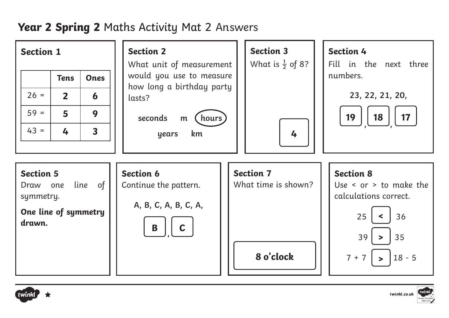#### **Year 2 Spring 2** Maths Activity Mat 2 Answers 2

| <b>Section 1</b>                                                            |                |                         | <b>Section 2</b><br>What unit of measurement                                   |  | <b>Section 3</b><br>What is $\frac{1}{2}$ of 8?      | <b>Section 4</b><br>Fill in the next three                                                                                                          |
|-----------------------------------------------------------------------------|----------------|-------------------------|--------------------------------------------------------------------------------|--|------------------------------------------------------|-----------------------------------------------------------------------------------------------------------------------------------------------------|
|                                                                             | <b>Tens</b>    | <b>Ones</b>             | would you use to measure<br>how long a birthday party                          |  |                                                      | numbers.                                                                                                                                            |
| $26 =$                                                                      | $\overline{2}$ | 6                       | lasts?                                                                         |  |                                                      | 23, 22, 21, 20,                                                                                                                                     |
| $59 =$                                                                      | 5              | 9                       | seconds<br>hours<br>m                                                          |  | 19<br>17<br>18                                       |                                                                                                                                                     |
| $43 =$                                                                      | 4              | $\overline{\mathbf{3}}$ | km<br>years                                                                    |  | 4                                                    |                                                                                                                                                     |
|                                                                             |                |                         |                                                                                |  |                                                      |                                                                                                                                                     |
| <b>Section 5</b><br>Draw one<br>symmetry.<br>One line of symmetry<br>drawn. |                | line of                 | Section 6<br>Continue the pattern.<br>A, B, C, A, B, C, A,<br>B<br>$\mathbf C$ |  | <b>Section 7</b><br>What time is shown?<br>8 o'clock | <b>Section 8</b><br>Use $\le$ or $>$ to make the<br>calculations correct.<br>25<br>36<br>35<br>39<br>$\geq$<br>$7 + 7$<br>$18 - 5$<br>$\rightarrow$ |





twinkl.co.uk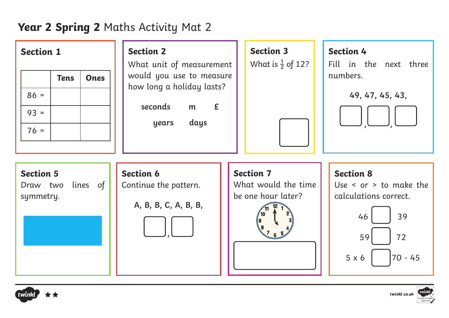# **Year 2 Spring 2** Maths Activity Mat 2

| <b>Section 1</b><br><b>Tens</b><br><b>Ones</b><br>$86 =$<br>$93 =$<br>$76 =$ | <b>Section 2</b><br>What unit of measurement<br>would you use to measure<br>how long a holiday lasts?<br>seconds<br>E<br>m<br>days<br>years | <b>Section 3</b><br>What is $\frac{1}{2}$ of 12?              | <b>Section 4</b><br>Fill in the next three<br>numbers.<br>49, 47, 45, 43,                                                      |
|------------------------------------------------------------------------------|---------------------------------------------------------------------------------------------------------------------------------------------|---------------------------------------------------------------|--------------------------------------------------------------------------------------------------------------------------------|
| <b>Section 5</b><br>lines of<br>Draw two<br>symmetry.                        | <b>Section 6</b><br>Continue the pattern.<br>A, B, B, C, A, B, B,                                                                           | <b>Section 7</b><br>What would the time<br>be one hour later? | <b>Section 8</b><br>Use $\le$ or $>$ to make the<br>calculations correct.<br>39<br>46<br>59<br>72<br>$70 - 45$<br>$5 \times 6$ |



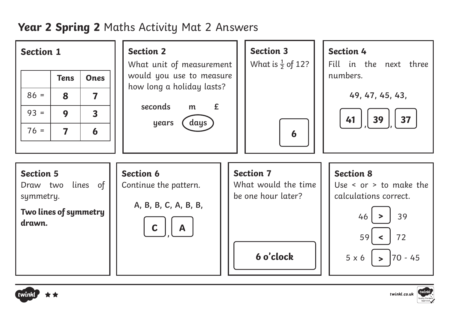## **Year 2 Spring 2** Maths Activity Mat 2 Answers





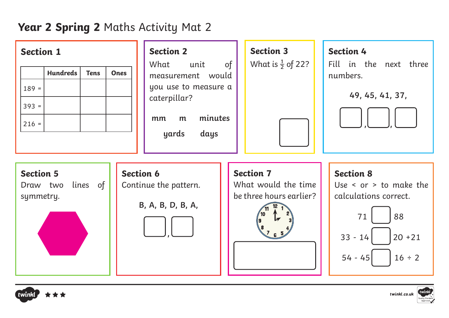## **Year 2 Spring 2** Maths Activity Mat 2